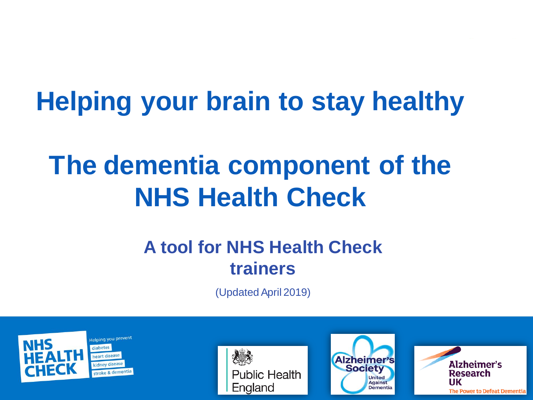# **Helping your brain to stay healthy**

# **The dementia component of the NHS Health Check**

#### **A tool for NHS Health Check trainers**

(Updated April 2019)







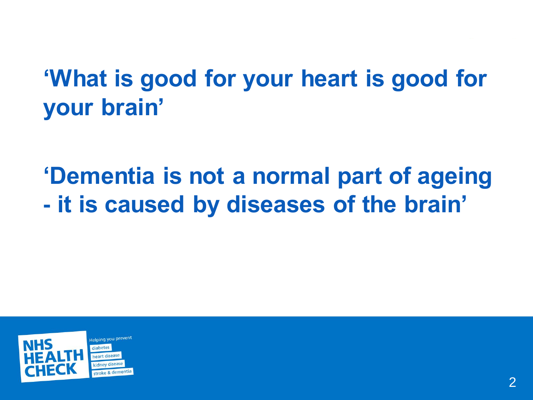## **'What is good for your heart is good for your brain'**

## **'Dementia is not a normal part of ageing - it is caused by diseases of the brain'**

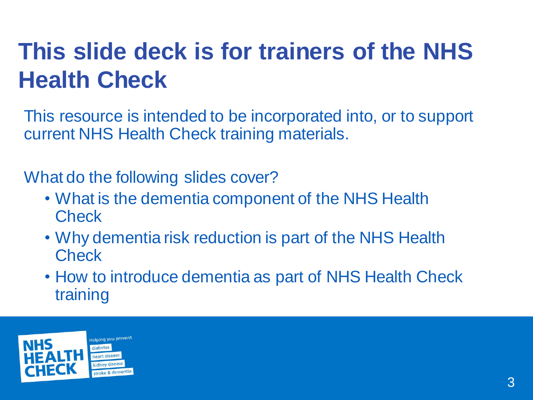## **This slide deck is for trainers of the NHS Health Check**

This resource is intended to be incorporated into, or to support current NHS Health Check training materials.

What do the following slides cover?

- What is the dementia component of the NHS Health **Check**
- Why dementia risk reduction is part of the NHS Health **Check**
- How to introduce dementia as part of NHS Health Check training

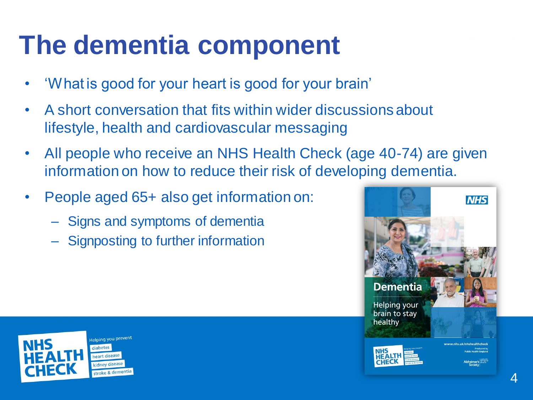## **The dementia component**

- 'What is good for your heart is good for your brain'
- A short conversation that fits within wider discussions about lifestyle, health and cardiovascular messaging
- All people who receive an NHS Health Check (age 40-74) are given information on how to reduce their risk of developing dementia.
- People aged 65+ also get information on:
	- Signs and symptoms of dementia
	- Signposting to further information



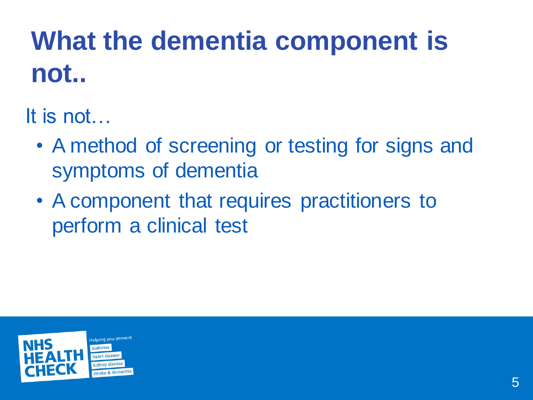# **What the dementia component is not..**

It is not…

- A method of screening or testing for signs and symptoms of dementia
- A component that requires practitioners to perform a clinical test

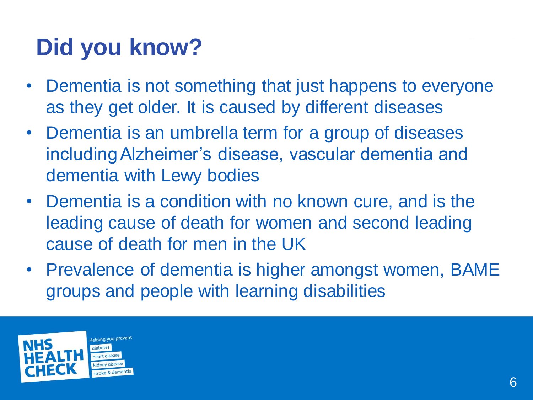## **Did you know?**

- Dementia is not something that just happens to everyone as they get older. It is caused by different diseases
- Dementia is an umbrella term for a group of diseases including Alzheimer's disease, vascular dementia and dementia with Lewy bodies
- Dementia is a condition with no known cure, and is the leading cause of death for women and second leading cause of death for men in the UK
- Prevalence of dementia is higher amongst women, BAME groups and people with learning disabilities

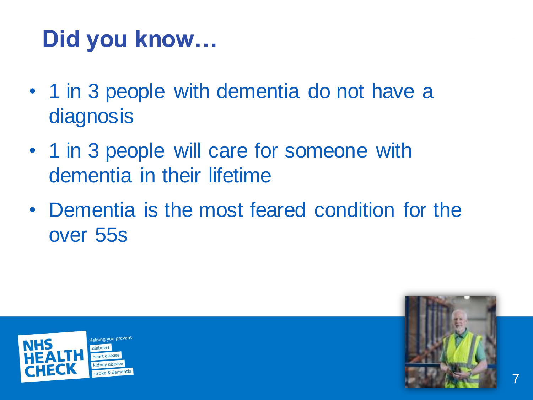## **Did you know…**

- 1 in 3 people with dementia do not have a **diagnosis**
- 1 in 3 people will care for someone with dementia in their lifetime
- Dementia is the most feared condition for the over 55s



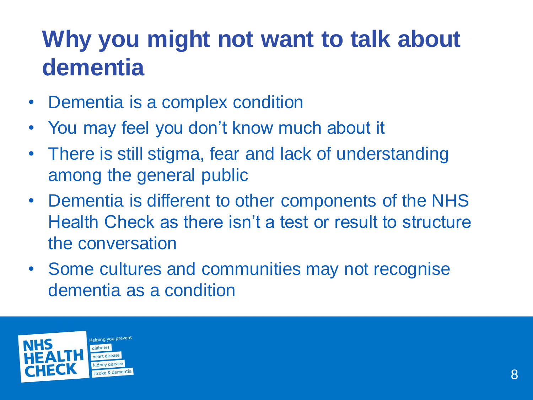## **Why you might not want to talk about dementia**

- Dementia is a complex condition
- You may feel you don't know much about it
- There is still stigma, fear and lack of understanding among the general public
- Dementia is different to other components of the NHS Health Check as there isn't a test or result to structure the conversation
- Some cultures and communities may not recognise dementia as a condition

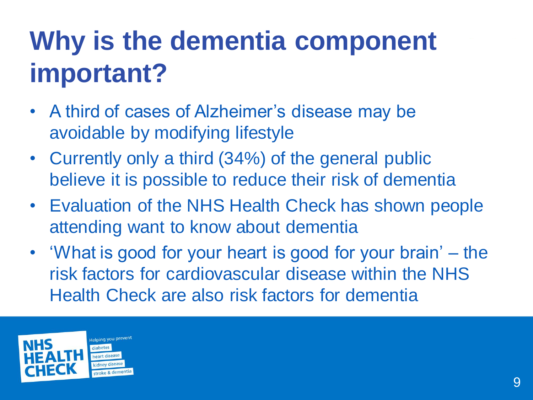# **Why is the dementia component important?**

- A third of cases of Alzheimer's disease may be avoidable by modifying lifestyle
- Currently only a third (34%) of the general public believe it is possible to reduce their risk of dementia
- Evaluation of the NHS Health Check has shown people attending want to know about dementia
- 'What is good for your heart is good for your brain' the risk factors for cardiovascular disease within the NHS Health Check are also risk factors for dementia

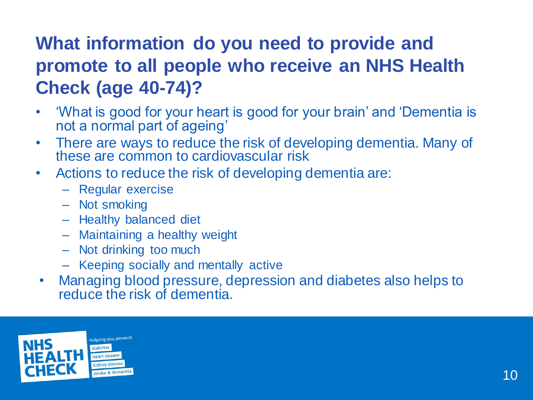### **What information do you need to provide and promote to all people who receive an NHS Health Check (age 40-74)?**

- 'What is good for your heart is good for your brain' and 'Dementia is not a normal part of ageing'
- There are ways to reduce the risk of developing dementia. Many of these are common to cardiovascular risk
- Actions to reduce the risk of developing dementia are:
	- Regular exercise
	- Not smoking
	- Healthy balanced diet
	- Maintaining a healthy weight
	- Not drinking too much
	- Keeping socially and mentally active
- Managing blood pressure, depression and diabetes also helps to reduce the risk of dementia.

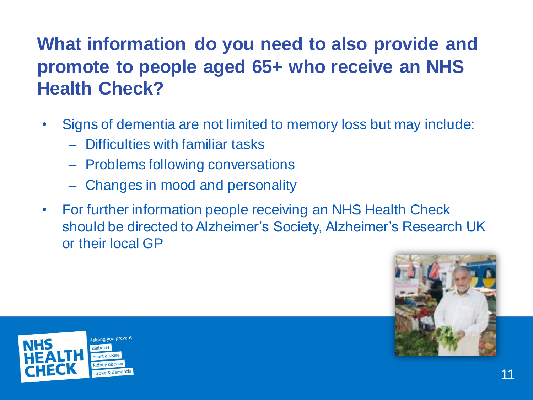### **What information do you need to also provide and promote to people aged 65+ who receive an NHS Health Check?**

- Signs of dementia are not limited to memory loss but may include:
	- Difficulties with familiar tasks
	- Problems following conversations
	- Changes in mood and personality
- For further information people receiving an NHS Health Check should be directed to Alzheimer's Society, Alzheimer's Research UK or their local GP



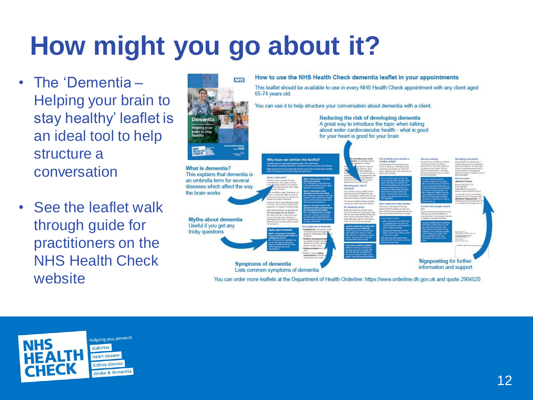# **How might you go about it?**

- The 'Dementia Helping your brain to stay healthy' leaflet is an ideal tool to help structure a conversation
- See the leaflet walk through guide for practitioners on the NHS Health Check website



You can order more leaflets at the Department of Health Orderline: https://www.orderline.dh.gov.uk and quote 2904520

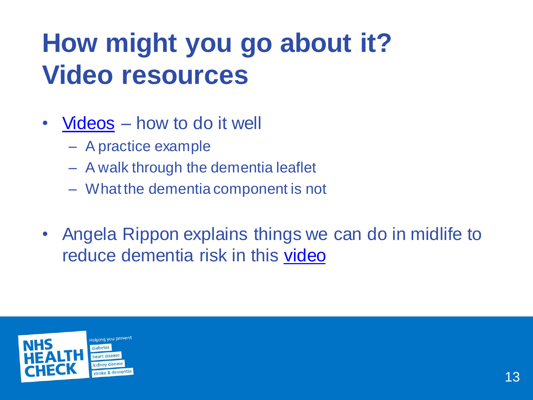# **How might you go about it? Video resources**

- [Videos](https://www.healthcheck.nhs.uk/commissioners_and_providers/training/dementia_training/) how to do it well
	- A practice example
	- A walk through the dementia leaflet
	- What the dementia component is not
- Angela Rippon explains things we can do in midlife to reduce dementia risk in this [video](https://www.healthcheck.nhs.uk/commissioners_and_providers/marketing/dementia_resources/)

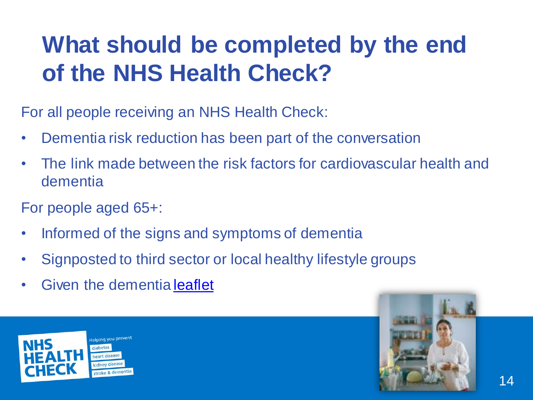## **What should be completed by the end of the NHS Health Check?**

For all people receiving an NHS Health Check:

- Dementia risk reduction has been part of the conversation
- The link made between the risk factors for cardiovascular health and dementia
- For people aged 65+:
- Informed of the signs and symptoms of dementia
- Signposted to third sector or local healthy lifestyle groups
- Given the dementia [leaflet](https://www.google.co.uk/url?sa=t&rct=j&q=&esrc=s&source=web&cd=1&cad=rja&uact=8&ved=0ahUKEwin9KCQ3OTQAhWD7SYKHR-EDOwQFggcMAA&url=http://www.healthcheck.nhs.uk/document.php?o%3D327&usg=AFQjCNGQ2HWRK48Mapy_DBBu06ox1ImQhw)